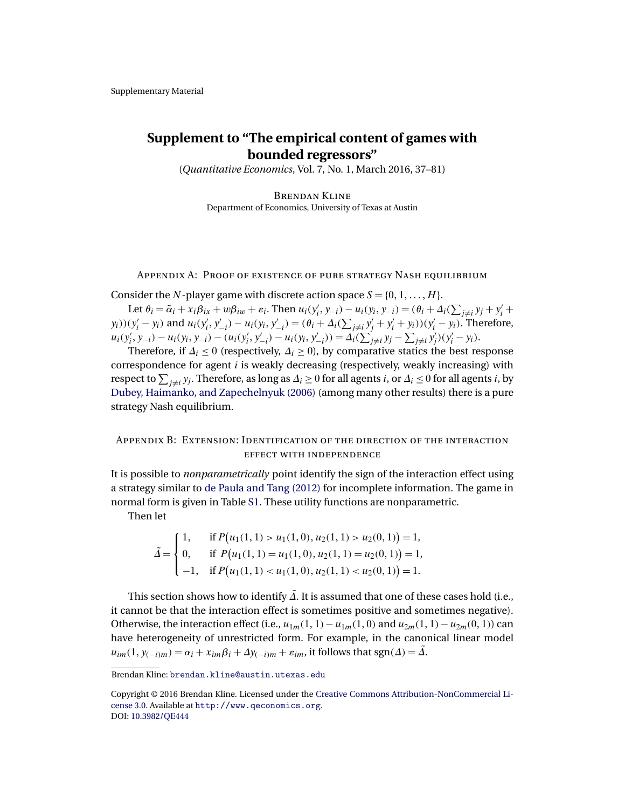# <span id="page-0-0"></span>**Supplement to "The empirical content of games with bounded regressors"**

(*Quantitative Economics*, Vol. 7, No. 1, March 2016, 37–81)

Brendan Kline Department of Economics, University of Texas at Austin

### Appendix A: Proof of existence of pure strategy Nash equilibrium

Consider the N-player game with discrete action space  $S = \{0, 1, ..., H\}$ .

Let  $\theta_i = \tilde{\alpha}_i + x_i \beta_{ix} + w \beta_{iw} + \varepsilon_i$ . Then  $u_i(y'_i, y_{-i}) - u_i(y_i, y_{-i}) = (\theta_i + \Delta_i(\sum_{j \neq i} y_j + y'_i + \Delta_j(\sum_{j \neq i} y_j + \Delta_j(\sum_{j \neq i} y_j + \Delta_j(\sum_{j \neq i} y_j + \Delta_j(\sum_{j \neq i} y_j + \Delta_j(\sum_{j \neq i} y_j + \Delta_j(\sum_{j \neq i} y_j + \Delta_j(\sum_{j \neq i} y_j + \Delta_j(\sum_{j \neq i} y_j + \Delta_j(\sum_{j \ne$  $(y_i)(y_i' - y_i)$  and  $u_i(y_i', y_{-i}') - u_i(y_i, y_{-i}') = (\theta_i + \Delta_i(\sum_{j \neq i} y_j' + y_i' + y_i))(y_i' - y_i)$ . Therefore,  $u_i(y'_i, y_{-i}) - u_i(y_i, y_{-i}) - (u_i(y'_i, y'_{-i}) - u_i(y_i, y'_{-i})) = \Delta_i(\sum'_{j \neq i} y_j - \sum_{j \neq i} y'_j)(y'_i - y_i).$ 

Therefore, if  $\Delta_i \leq 0$  (respectively,  $\Delta_i \geq 0$ ), by comparative statics the best response correspondence for agent  $i$  is weakly decreasing (respectively, weakly increasing) with respect to  $\sum_{j\neq i}y_j$ . Therefore, as long as  $\varDelta_i\geq 0$  for all agents  $i$ , or  $\varDelta_i\leq 0$  for all agents  $i$ , by [Dubey, Haimanko, and Zapechelnyuk \(2006\)](#page-4-0) (among many other results) there is a pure strategy Nash equilibrium.

## Appendix B: Extension: Identification of the direction of the interaction effect with independence

It is possible to *nonparametrically* point identify the sign of the interaction effect using a strategy similar to [de Paula and Tang \(2012\)](#page-4-0) for incomplete information. The game in normal form is given in Table [S1.](#page-1-0) These utility functions are nonparametric.

Then let

$$
\tilde{\Delta} = \begin{cases}\n1, & \text{if } P(u_1(1,1) > u_1(1,0), u_2(1,1) > u_2(0,1)) = 1, \\
0, & \text{if } P(u_1(1,1) = u_1(1,0), u_2(1,1) = u_2(0,1)) = 1, \\
-1, & \text{if } P(u_1(1,1) < u_1(1,0), u_2(1,1) < u_2(0,1)) = 1.\n\end{cases}
$$

This section shows how to identify  $\tilde{\Delta}$ . It is assumed that one of these cases hold (i.e., it cannot be that the interaction effect is sometimes positive and sometimes negative). Otherwise, the interaction effect (i.e.,  $u_{1m}(1, 1) - u_{1m}(1, 0)$  and  $u_{2m}(1, 1) - u_{2m}(0, 1)$ ) can have heterogeneity of unrestricted form. For example, in the canonical linear model  $u_{im}(1, y_{(-i)m}) = \alpha_i + x_{im}\beta_i + \Delta y_{(-i)m} + \varepsilon_{im}$ , it follows that sgn( $\Delta$ ) =  $\tilde{\Delta}$ .

Brendan Kline: [brendan.kline@austin.utexas.edu](mailto:brendan.kline@austin.utexas.edu)

Copyright © 2016 Brendan Kline. Licensed under the [Creative Commons Attribution-NonCommercial Li](http://creativecommons.org/licenses/by-nc/3.0/)[cense 3.0.](http://creativecommons.org/licenses/by-nc/3.0/) Available at [http://www.qeconomics.org](http://www.qeconomics.org/). DOI: [10.3982/QE444](http://dx.doi.org/10.3982/QE444)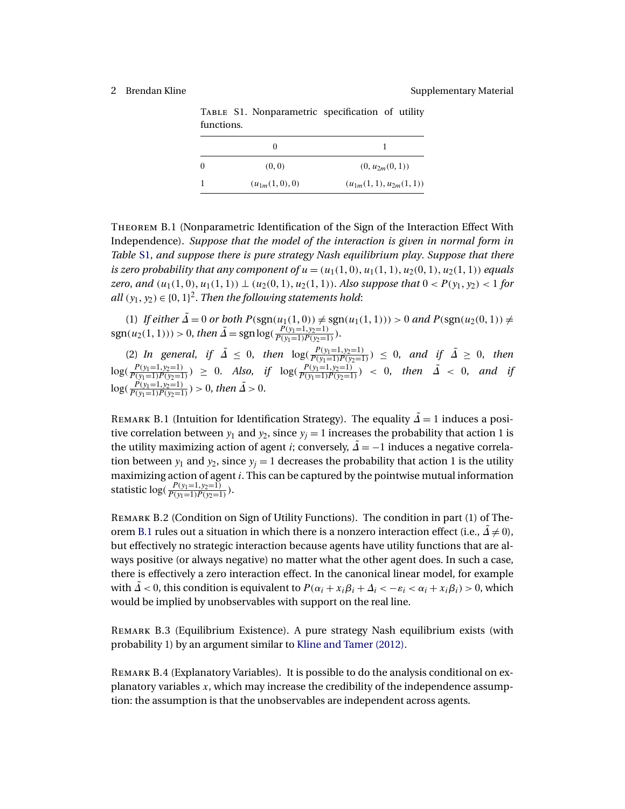<span id="page-1-0"></span>Table S1. Nonparametric specification of utility functions.

| -0 | (0, 0)            | $(0, u_{2m}(0, 1))$         |
|----|-------------------|-----------------------------|
|    | $(u_{1m}(1,0),0)$ | $(u_{1m}(1,1),u_{2m}(1,1))$ |

Theorem B.1 (Nonparametric Identification of the Sign of the Interaction Effect With Independence). *Suppose that the model of the interaction is given in normal form in Table* S1, *and suppose there is pure strategy Nash equilibrium play*. *Suppose that there is zero probability that any component of*  $u = (u_1(1,0), u_1(1,1), u_2(0,1), u_2(1,1))$  *equals zero, and*  $(u_1(1,0), u_1(1,1)) \perp (u_2(0,1), u_2(1,1))$ . *Also suppose that*  $0 < P(y_1, y_2) < 1$  for all  $(y_1, y_2) \in \{0, 1\}^2$ . *Then the following statements hold*:

(1) If either  $\tilde{\Delta} = 0$  or both  $P(\text{sgn}(u_1(1,0)) \neq \text{sgn}(u_1(1,1))) > 0$  and  $P(\text{sgn}(u_2(0,1)) \neq$  $sgn(u_2(1, 1))) > 0$ , then  $\tilde{\Delta} = sgn \log(\frac{P(y_1=1, y_2=1)}{P(y_1=1)P(y_2=1)})$ .

(2) *In general, if*  $\tilde{\Delta} \le 0$ *, then*  $\log(\frac{P(y_1=1, y_2=1)}{P(y_1=1)P(y_2=1)}) \le 0$ *, and if*  $\tilde{\Delta} \ge 0$ *, then*  $log(\frac{P(y_1=1,y_2=1)}{P(y_1=1)P(y_2=1)}) \ge 0$ . *Also*, *if*  $log(\frac{P(y_1=1,y_2=1)}{P(y_1=1)P(y_2=1)}) < 0$ , *then*  $\tilde{\Delta} < 0$ , *and if*  $log(\frac{P(y_1=1,y_2=1)}{P(y_1=1)P(y_2=1)}) > 0$ , then  $\tilde{\Delta} > 0$ .

REMARK B.1 (Intuition for Identification Strategy). The equality  $\tilde{\Delta} = 1$  induces a positive correlation between  $y_1$  and  $y_2$ , since  $y_i = 1$  increases the probability that action 1 is the utility maximizing action of agent *i*; conversely,  $\tilde{\Delta} = -1$  induces a negative correlation between  $y_1$  and  $y_2$ , since  $y_i = 1$  decreases the probability that action 1 is the utility maximizing action of agent i. This can be captured by the pointwise mutual information statistic  $log(\frac{P(y_1=1, y_2=1)}{P(y_1=1)P(y_2=1)})$ .

Remark B.2 (Condition on Sign of Utility Functions). The condition in part (1) of Theorem B.1 rules out a situation in which there is a nonzero interaction effect (i.e.,  $\Delta \neq 0$ ), but effectively no strategic interaction because agents have utility functions that are always positive (or always negative) no matter what the other agent does. In such a case, there is effectively a zero interaction effect. In the canonical linear model, for example with  $\Delta < 0$ , this condition is equivalent to  $P(\alpha_i + x_i\beta_i + \Delta_i < -\varepsilon_i < \alpha_i + x_i\beta_i) > 0$ , which would be implied by unobservables with support on the real line.

Remark B.3 (Equilibrium Existence). A pure strategy Nash equilibrium exists (with probability 1) by an argument similar to [Kline and Tamer \(2012\).](#page-4-0)

Remark B.4 (Explanatory Variables). It is possible to do the analysis conditional on explanatory variables  $x$ , which may increase the credibility of the independence assumption: the assumption is that the unobservables are independent across agents.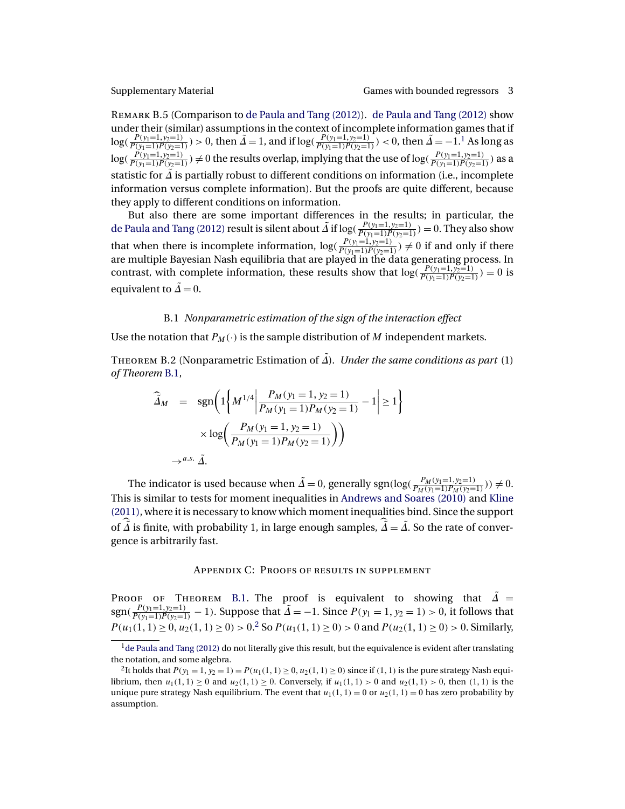<span id="page-2-0"></span>

Remark B.5 (Comparison to [de Paula and Tang \(2012\)\)](#page-4-0). [de Paula and Tang \(2012\)](#page-4-0) show under their (similar) assumptions in the context of incomplete information games that if  $\log(\frac{P(y_1=1,y_2=1)}{P(y_1=1)P(y_2=1)}) > 0$ , then  $\tilde{\Delta} = 1$ , and if  $\log(\frac{P(y_1=1,y_2=1)}{P(y_1=1)P(y_2=1)}) < 0$ , then  $\tilde{\Delta} = -1$ .<sup>1</sup> As long as  $log(\frac{P(y_1=1,y_2=1)}{P(y_1=1)P(y_2=1)}) \neq 0$  the results overlap, implying that the use of  $log(\frac{P(y_1=1,y_2=1)}{P(y_1=1)P(y_2=1)})$  as a statistic for  $\tilde{\Delta}$  is partially robust to different conditions on information (i.e., incomplete information versus complete information). But the proofs are quite different, because they apply to different conditions on information.

But also there are some important differences in the results; in particular, the [de Paula and Tang \(2012\)](#page-4-0) result is silent about  $\tilde{\Delta}$  if log( $\frac{P(y_1=1,y_2=1)}{P(y_1=1)P(y_2=1)}$ ) = 0. They also show that when there is incomplete information,  $\log(\frac{P(y_1=1,y_2=1)}{P(y_1=1)P(y_2=1)}) \neq 0$  if and only if there are multiple Bayesian Nash equilibria that are played in the data generating process. In contrast, with complete information, these results show that  $log(\frac{P(y_1=1, y_2=1)}{P(y_1=1)P(y_2=1)}) = 0$  is equivalent to  $\tilde{\Delta} = 0$ .

### B.1 *Nonparametric estimation of the sign of the interaction effect*

Use the notation that  $P_M(\cdot)$  is the sample distribution of M independent markets.

THEOREM B.2 (Nonparametric Estimation of  $\tilde{\Delta}$ ). *Under the same conditions as part* (1) *of Theorem* [B.1,](#page-1-0)

$$
\widehat{\tilde{\Delta}}_M = \operatorname{sgn}\left(1\left\{M^{1/4} \middle| \frac{P_M(y_1 = 1, y_2 = 1)}{P_M(y_1 = 1)P_M(y_2 = 1)} - 1\right| \ge 1\right\}
$$

$$
\times \log\left(\frac{P_M(y_1 = 1, y_2 = 1)}{P_M(y_1 = 1)P_M(y_2 = 1)}\right)
$$

$$
\rightarrow^{a.s. \tilde{\Delta}}.
$$

The indicator is used because when  $\tilde{\Delta} = 0$ , generally sgn(log( $\frac{P_M(y_1=1, y_2=1)}{P_M(y_1=1)P_M(y_2=1)}) \neq 0$ . This is similar to tests for moment inequalities in [Andrews and Soares \(2010\)](#page-4-0) and [Kline](#page-4-0) [\(2011\),](#page-4-0) where it is necessary to know which moment inequalities bind. Since the support of  $\widehat{\tilde{\Delta}}$  is finite, with probability 1, in large enough samples,  $\widehat{\tilde{\Delta}} = \tilde{\Delta}$ . So the rate of convergence is arbitrarily fast.

### Appendix C: Proofs of results in supplement

PROOF OF THEOREM [B.1.](#page-1-0) The proof is equivalent to showing that  $\tilde{\Delta}$  = sgn( $\frac{P(y_1=1, y_2=1)}{P(y_1=1)P(y_2=1)} - 1$ ). Suppose that  $\tilde{\Delta} = -1$ . Since  $P(y_1=1, y_2=1) > 0$ , it follows that  $P(u_1(1, 1) \ge 0, u_2(1, 1) \ge 0) > 0$ .<sup>2</sup> So  $P(u_1(1, 1) \ge 0) > 0$  and  $P(u_2(1, 1) \ge 0) > 0$ . Similarly,

 $<sup>1</sup>$ [de Paula and Tang \(2012\)](#page-4-0) do not literally give this result, but the equivalence is evident after translating</sup> the notation, and some algebra.

<sup>&</sup>lt;sup>2</sup>It holds that  $P(y_1 = 1, y_2 = 1) = P(u_1(1, 1) \ge 0, u_2(1, 1) \ge 0)$  since if  $(1, 1)$  is the pure strategy Nash equilibrium, then  $u_1(1, 1) \ge 0$  and  $u_2(1, 1) \ge 0$ . Conversely, if  $u_1(1, 1) > 0$  and  $u_2(1, 1) > 0$ , then  $(1, 1)$  is the unique pure strategy Nash equilibrium. The event that  $u_1(1, 1) = 0$  or  $u_2(1, 1) = 0$  has zero probability by assumption.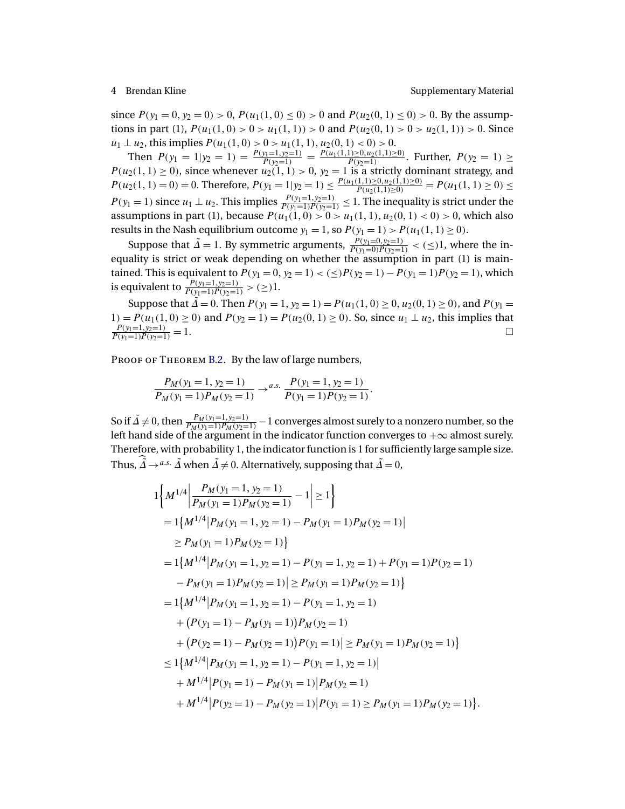since  $P(y_1 = 0, y_2 = 0) > 0$ ,  $P(u_1(1, 0) \le 0) > 0$  and  $P(u_2(0, 1) \le 0) > 0$ . By the assumptions in part (1),  $P(u_1(1, 0) > 0 > u_1(1, 1)) > 0$  and  $P(u_2(0, 1) > 0 > u_2(1, 1)) > 0$ . Since  $u_1 \perp u_2$ , this implies  $P(u_1(1, 0) > 0 > u_1(1, 1), u_2(0, 1) < 0) > 0$ .

Then  $P(y_1 = 1 | y_2 = 1) = \frac{P(y_1 = 1, y_2 = 1)}{P(y_2 = 1)} = \frac{P(u_1(1, 1) \ge 0, u_2(1, 1) \ge 0)}{P(y_2 = 1)}$ . Further,  $P(y_2 = 1) \ge$  $P(u_2(1, 1) \ge 0)$ , since whenever  $u_2(1, 1) > 0$ ,  $y_2 = 1$  is a strictly dominant strategy, and  $P(u_2(1, 1) = 0) = 0$ . Therefore,  $P(y_1 = 1 | y_2 = 1) \leq \frac{P(u_1(1, 1) \geq 0, u_2(1, 1) \geq 0)}{P(u_2(1, 1) > 0)}$  $P(u_2(1,1)\ge0)} = P(u_1(1,1)\ge0) \le$  $P(y_1 = 1)$  since  $u_1 \perp u_2$ . This implies  $\frac{P(y_1 = 1, y_2 = 1)}{P(y_1 = 1)P(y_2 = 1)} \le 1$ . The inequality is strict under the assumptions in part (1), because  $P(u_1(1,0) > 0 > u_1(1,1), u_2(0,1) < 0) > 0$ , which also results in the Nash equilibrium outcome  $y_1 = 1$ , so  $P(y_1 = 1) > P(u_1(1, 1) \ge 0)$ .

Suppose that  $\tilde{\Delta} = 1$ . By symmetric arguments,  $\frac{P(y_1=0, y_2=1)}{P(y_1=0)P(y_2=1)} < (\leq)1$ , where the inequality is strict or weak depending on whether the assumption in part (1) is maintained. This is equivalent to  $P(y_1 = 0, y_2 = 1) < ( \leq) P(y_2 = 1) - P(y_1 = 1)P(y_2 = 1)$ , which is equivalent to  $\frac{P(y_1=1, y_2=1)}{P(y_1=1)P(y_2=1)} > (\geq)1$ .

Suppose that  $\tilde{\Delta} = 0$ . Then  $P(y_1 = 1, y_2 = 1) = P(u_1(1, 0) \ge 0, u_2(0, 1) \ge 0)$ , and  $P(y_1 = 1, y_2 = 1)$ 1) =  $P(u_1(1, 0) \ge 0)$  and  $P(y_2 = 1) = P(u_2(0, 1) \ge 0)$ . So, since  $u_1 \perp u_2$ , this implies that  $\frac{P(y_1=1,y_2=1)}{P(y_1=1)P(y_2=1)}=1.$ 

PROOF OF THEOREM [B.2.](#page-2-0) By the law of large numbers,

$$
\frac{P_M(y_1=1, y_2=1)}{P_M(y_1=1)P_M(y_2=1)} \to^{a.s.} \frac{P(y_1=1, y_2=1)}{P(y_1=1)P(y_2=1)}.
$$

So if  $\tilde{\Delta}\neq0$ , then  $\frac{P_M(y_1=1,y_2=1)}{P_M(y_1=1)P_M(y_2=1)}-1$  converges almost surely to a nonzero number, so the left hand side of the argument in the indicator function converges to  $+\infty$  almost surely. Therefore, with probability 1, the indicator function is 1 for sufficiently large sample size. Thus,  $\tilde{\Delta} \rightarrow^{a.s.} \tilde{\Delta}$  when  $\tilde{\Delta} \neq 0$ . Alternatively, supposing that  $\tilde{\Delta} = 0$ ,

$$
1\left\{M^{1/4}\left|\frac{P_M(y_1=1, y_2=1)}{P_M(y_1=1)P_M(y_2=1)}-1\right|\geq 1\right\}
$$
  
=  $1\left\{M^{1/4}\left|P_M(y_1=1, y_2=1) - P_M(y_1=1)P_M(y_2=1)\right|\right\}$   
 $\geq P_M(y_1=1)P_M(y_2=1)\right\}$   
=  $1\left\{M^{1/4}\left|P_M(y_1=1, y_2=1) - P(y_1=1, y_2=1) + P(y_1=1)P(y_2=1)\right\}$   
 $-P_M(y_1=1)P_M(y_2=1)\right\}\geq P_M(y_1=1)P_M(y_2=1)\right\}$   
=  $1\left\{M^{1/4}\left|P_M(y_1=1, y_2=1) - P(y_1=1, y_2=1)\right.\right.$   
 $+ (P(y_1=1) - P_M(y_1=1))P_M(y_2=1)\right\}$   
 $+ (P(y_2=1) - P_M(y_2=1))P(y_1=1)\geq P_M(y_1=1)P_M(y_2=1)\right\}$   
 $+ M^{1/4}\left|P_M(y_1=1, y_2=1) - P(y_1=1, y_2=1)\right|$   
 $+ M^{1/4}\left|P(y_1=1) - P_M(y_1=1)\right|P_M(y_2=1)$   
 $+ M^{1/4}\left|P(y_2=1) - P_M(y_2=1)\right|P(y_1=1)\geq P_M(y_1=1)P_M(y_2=1)\right\}.$